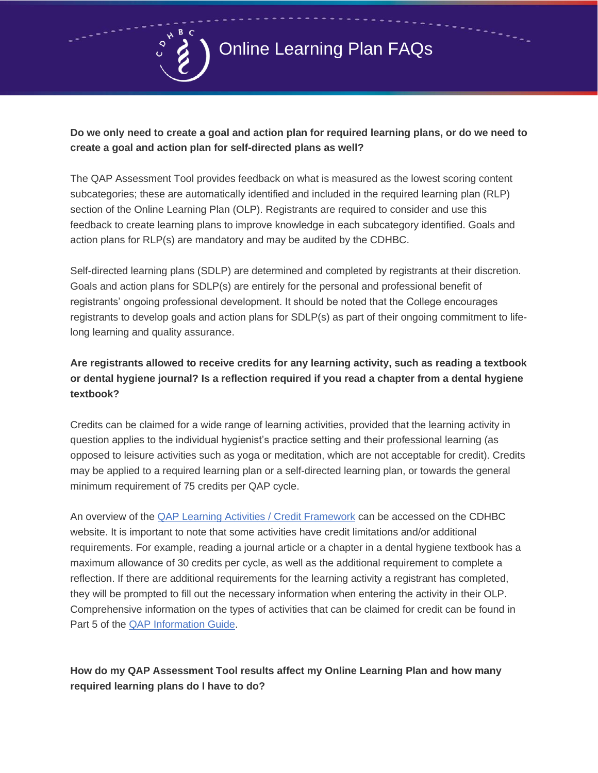

#### **Do we only need to create a goal and action plan for required learning plans, or do we need to create a goal and action plan for self-directed plans as well?**

The QAP Assessment Tool provides feedback on what is measured as the lowest scoring content subcategories; these are automatically identified and included in the required learning plan (RLP) section of the Online Learning Plan (OLP). Registrants are required to consider and use this feedback to create learning plans to improve knowledge in each subcategory identified. Goals and action plans for RLP(s) are mandatory and may be audited by the CDHBC.

Self-directed learning plans (SDLP) are determined and completed by registrants at their discretion. Goals and action plans for SDLP(s) are entirely for the personal and professional benefit of registrants' ongoing professional development. It should be noted that the College encourages registrants to develop goals and action plans for SDLP(s) as part of their ongoing commitment to lifelong learning and quality assurance.

# **Are registrants allowed to receive credits for any learning activity, such as reading a textbook or dental hygiene journal? Is a reflection required if you read a chapter from a dental hygiene textbook?**

Credits can be claimed for a wide range of learning activities, provided that the learning activity in question applies to the individual hygienist's practice setting and their professional learning (as opposed to leisure activities such as yoga or meditation, which are not acceptable for credit). Credits may be applied to a required learning plan or a self-directed learning plan, or towards the general minimum requirement of 75 credits per QAP cycle.

An overview of the [QAP Learning Activities](http://www.cdhbc.com/Documents/CC-Credit-Framework-January-2019-New.aspx) / Credit Framework can be accessed on the CDHBC website. It is important to note that some activities have credit limitations and/or additional requirements. For example, reading a journal article or a chapter in a dental hygiene textbook has a maximum allowance of 30 credits per cycle, as well as the additional requirement to complete a reflection. If there are additional requirements for the learning activity a registrant has completed, they will be prompted to fill out the necessary information when entering the activity in their OLP. Comprehensive information on the types of activities that can be claimed for credit can be found in Part 5 of the [QAP Information Guide.](http://www.cdhbc.com/Documents/QAP-Info-Guide-Update-August-2019-FINAL.aspx)

## **How do my QAP Assessment Tool results affect my Online Learning Plan and how many required learning plans do I have to do?**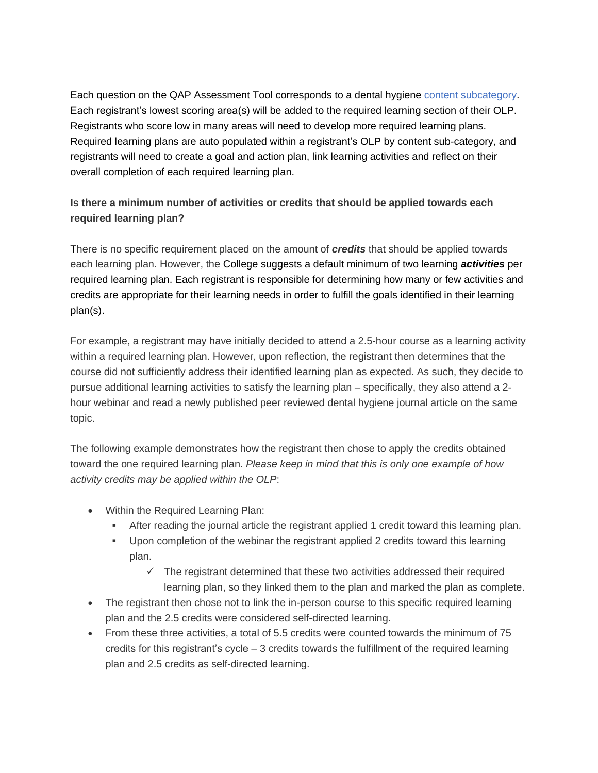Each question on the QAP Assessment Tool corresponds to a dental hygiene [content subcategory.](file:///C:/Users/mmollberg/AppData/Local/Microsoft/Windows/INetCache/Content.Outlook/2HRM7907/cdhbc.com/Documents/QAP-Content-Categories-Expanded-Definitions.aspx) Each registrant's lowest scoring area(s) will be added to the required learning section of their OLP. Registrants who score low in many areas will need to develop more required learning plans. Required learning plans are auto populated within a registrant's OLP by content sub-category, and registrants will need to create a goal and action plan, link learning activities and reflect on their overall completion of each required learning plan.

## **Is there a minimum number of activities or credits that should be applied towards each required learning plan?**

There is no specific requirement placed on the amount of *credits* that should be applied towards each learning plan. However, the College suggests a default minimum of two learning *activities* per required learning plan. Each registrant is responsible for determining how many or few activities and credits are appropriate for their learning needs in order to fulfill the goals identified in their learning plan(s).

For example, a registrant may have initially decided to attend a 2.5-hour course as a learning activity within a required learning plan. However, upon reflection, the registrant then determines that the course did not sufficiently address their identified learning plan as expected. As such, they decide to pursue additional learning activities to satisfy the learning plan – specifically, they also attend a 2 hour webinar and read a newly published peer reviewed dental hygiene journal article on the same topic.

The following example demonstrates how the registrant then chose to apply the credits obtained toward the one required learning plan. *Please keep in mind that this is only one example of how activity credits may be applied within the OLP*:

- Within the Required Learning Plan:
	- **EXECT** After reading the journal article the registrant applied 1 credit toward this learning plan.
	- Upon completion of the webinar the registrant applied 2 credits toward this learning plan.
		- $\checkmark$  The registrant determined that these two activities addressed their required learning plan, so they linked them to the plan and marked the plan as complete.
- The registrant then chose not to link the in-person course to this specific required learning plan and the 2.5 credits were considered self-directed learning.
- From these three activities, a total of 5.5 credits were counted towards the minimum of 75 credits for this registrant's cycle – 3 credits towards the fulfillment of the required learning plan and 2.5 credits as self-directed learning.